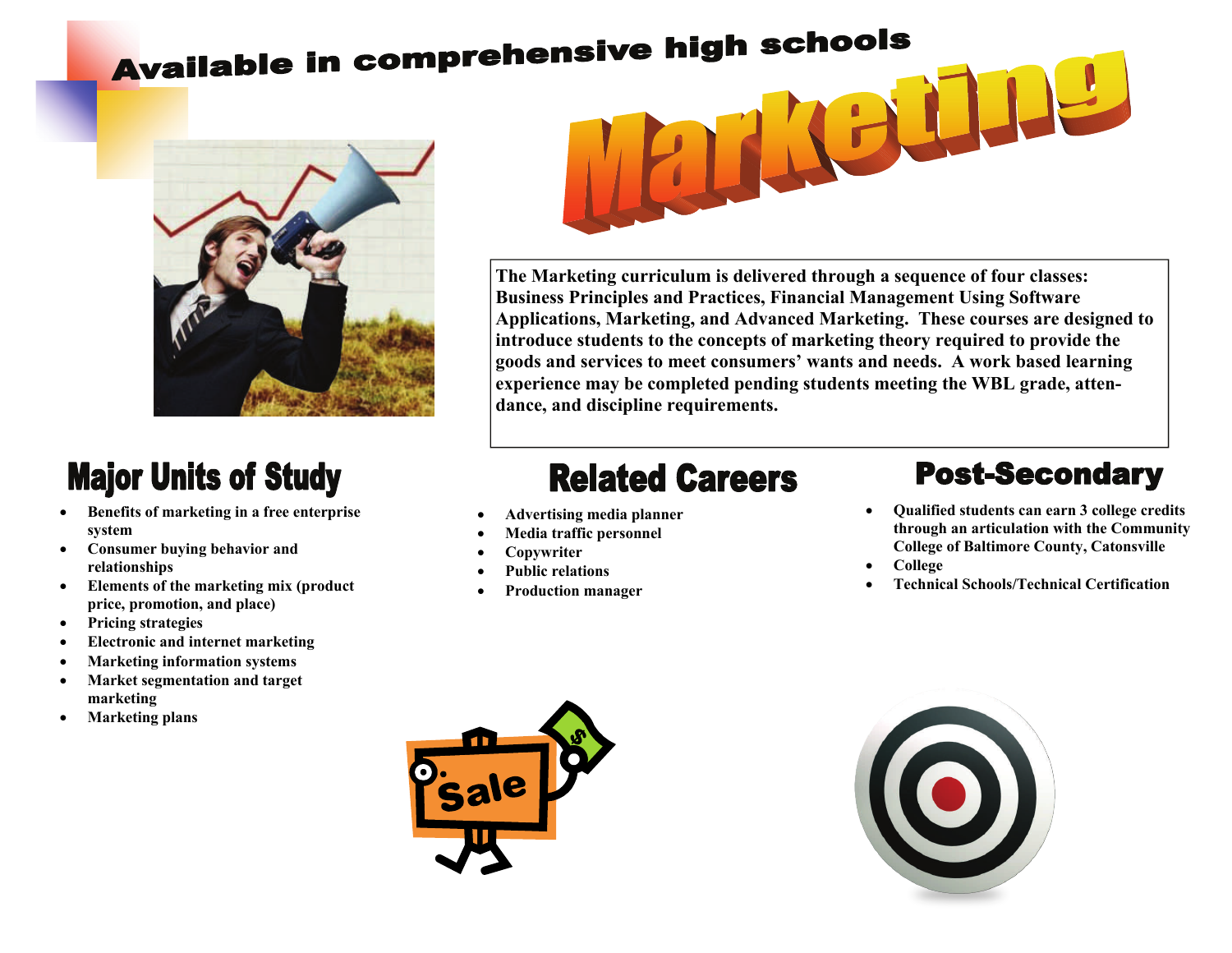# Available in comprehensive high schools



### **Major Units of Study**

- **Benefits of marketing in a free enterprise system**
- **Consumer buying behavior and relationships**
- **Elements of the marketing mix (product price, promotion, and place)**
- **Pricing strategies**
- **Electronic and internet marketing**
- **Marketing information systems**
- **Market segmentation and target marketing**
- **Marketing plans**



**The Marketing curriculum is delivered through a sequence of four classes: Business Principles and Practices, Financial Management Using Software Applications, Marketing, and Advanced Marketing. These courses are designed to introduce students to the concepts of marketing theory required to provide the goods and services to meet consumers' wants and needs. A work based learning experience may be completed pending students meeting the WBL grade, attendance, and discipline requirements.** 

## **Related Careers**

- **Advertising media planner**
- **Media traffic personnel**
- **Copywriter**
- **Public relations**
- **Production manager**

#### **Post-Secondary**

- **Qualified students can earn 3 college credits through an articulation with the Community College of Baltimore County, Catonsville**
- **College**
- **Technical Schools/Technical Certification**